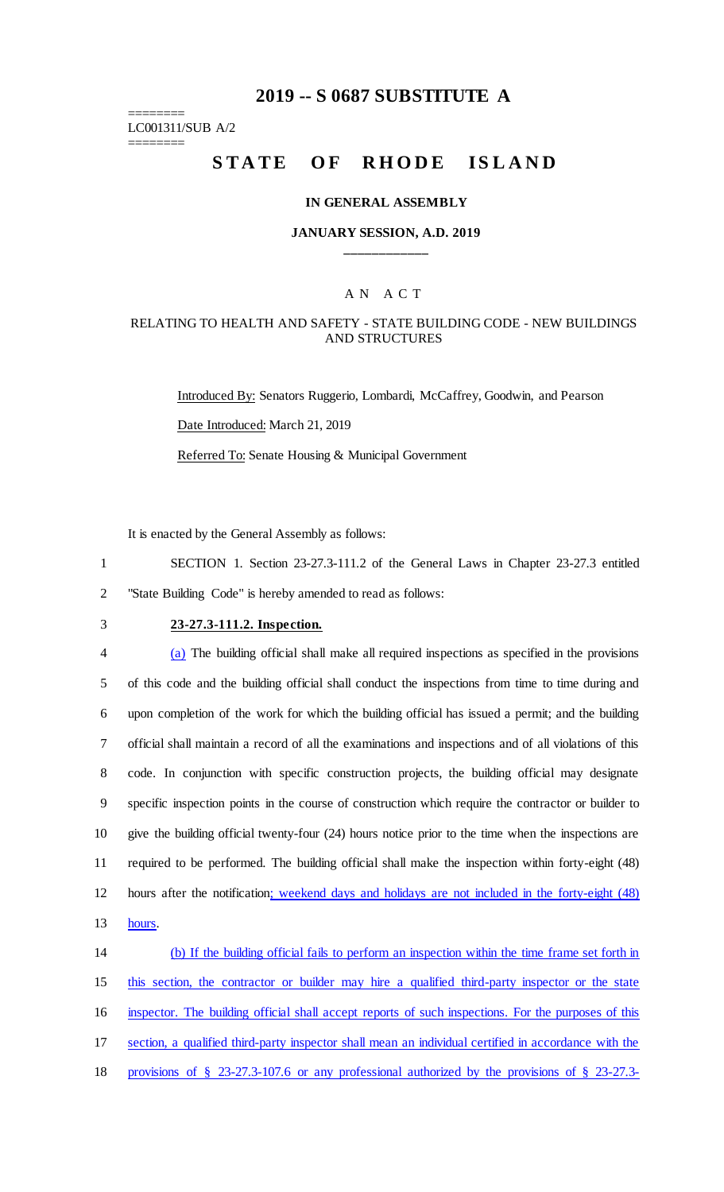## **2019 -- S 0687 SUBSTITUTE A**

======== LC001311/SUB A/2

========

# STATE OF RHODE ISLAND

#### **IN GENERAL ASSEMBLY**

#### **JANUARY SESSION, A.D. 2019 \_\_\_\_\_\_\_\_\_\_\_\_**

#### A N A C T

#### RELATING TO HEALTH AND SAFETY - STATE BUILDING CODE - NEW BUILDINGS AND STRUCTURES

Introduced By: Senators Ruggerio, Lombardi, McCaffrey, Goodwin, and Pearson Date Introduced: March 21, 2019 Referred To: Senate Housing & Municipal Government

It is enacted by the General Assembly as follows:

1 SECTION 1. Section 23-27.3-111.2 of the General Laws in Chapter 23-27.3 entitled 2 "State Building Code" is hereby amended to read as follows:

## 3 **23-27.3-111.2. Inspection.**

 (a) The building official shall make all required inspections as specified in the provisions of this code and the building official shall conduct the inspections from time to time during and upon completion of the work for which the building official has issued a permit; and the building official shall maintain a record of all the examinations and inspections and of all violations of this code. In conjunction with specific construction projects, the building official may designate specific inspection points in the course of construction which require the contractor or builder to give the building official twenty-four (24) hours notice prior to the time when the inspections are required to be performed. The building official shall make the inspection within forty-eight (48) hours after the notification; weekend days and holidays are not included in the forty-eight (48) 13 hours.

 (b) If the building official fails to perform an inspection within the time frame set forth in this section, the contractor or builder may hire a qualified third-party inspector or the state inspector. The building official shall accept reports of such inspections. For the purposes of this section, a qualified third-party inspector shall mean an individual certified in accordance with the provisions of § 23-27.3-107.6 or any professional authorized by the provisions of § 23-27.3-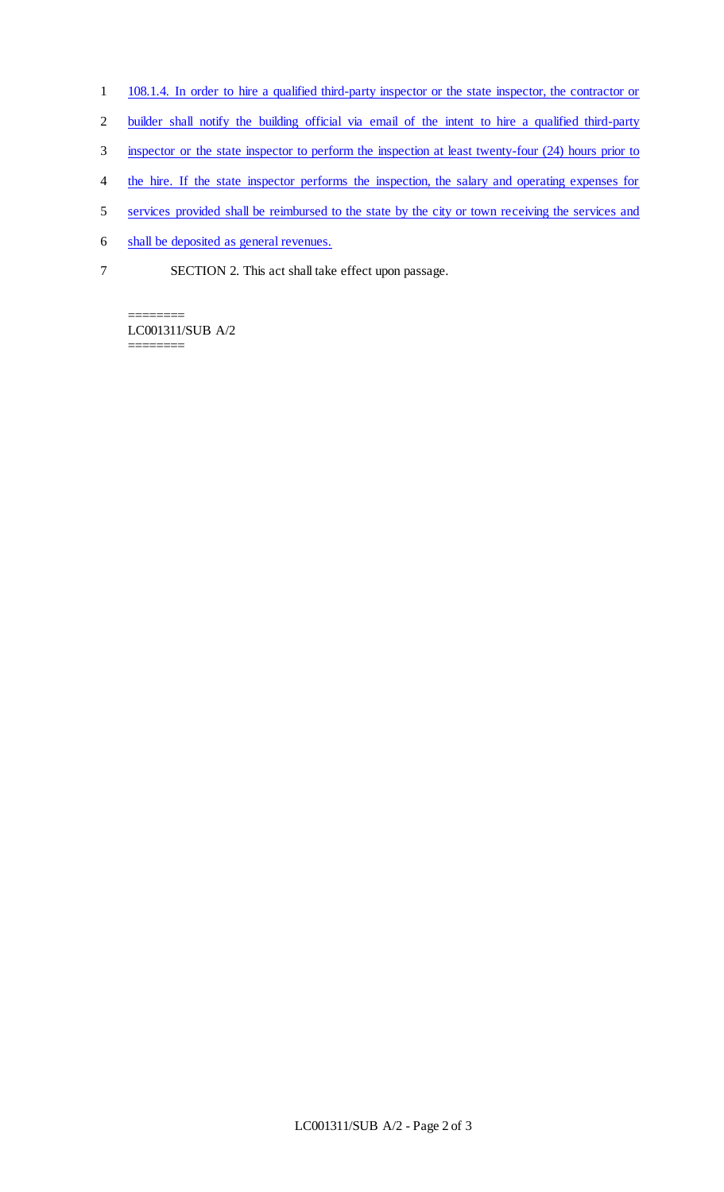- 1 108.1.4. In order to hire a qualified third-party inspector or the state inspector, the contractor or
- 2 builder shall notify the building official via email of the intent to hire a qualified third-party
- 3 inspector or the state inspector to perform the inspection at least twenty-four (24) hours prior to
- 4 the hire. If the state inspector performs the inspection, the salary and operating expenses for
- 5 services provided shall be reimbursed to the state by the city or town receiving the services and
- 6 shall be deposited as general revenues.
- 7 SECTION 2. This act shall take effect upon passage.

======== LC001311/SUB A/2 ========